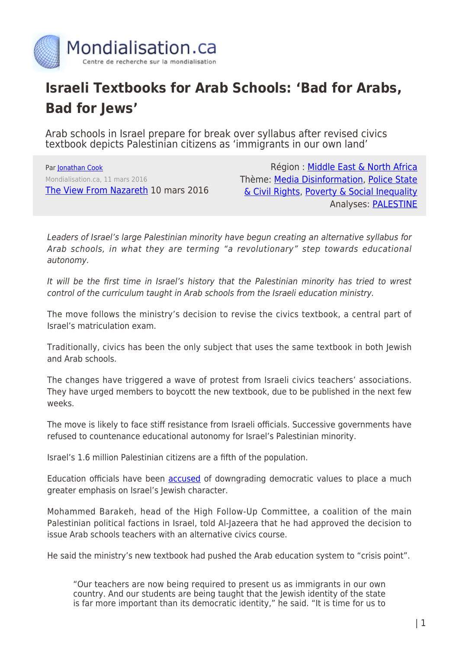

## **Israeli Textbooks for Arab Schools: 'Bad for Arabs, Bad for Jews'**

Arab schools in Israel prepare for break over syllabus after revised civics textbook depicts Palestinian citizens as 'immigrants in our own land'

Par [Jonathan Cook](https://www.mondialisation.ca/author/jonathan-cook) Mondialisation.ca, 11 mars 2016 [The View From Nazareth](http://www.jonathan-cook.net/2016-03-10/israeli-textbook-bad-for-arabs-bad-for-jews/) 10 mars 2016

Région : [Middle East & North Africa](https://www.mondialisation.ca/region/middle-east) Thème: [Media Disinformation,](https://www.mondialisation.ca/theme/media-disinformation) [Police State](https://www.mondialisation.ca/theme/police-state-civil-rights) [& Civil Rights](https://www.mondialisation.ca/theme/police-state-civil-rights), [Poverty & Social Inequality](https://www.mondialisation.ca/theme/poverty-social-inequality) Analyses: [PALESTINE](https://www.mondialisation.ca/indepthreport/palestine)

Leaders of Israel's large Palestinian minority have begun creating an alternative syllabus for Arab schools, in what they are terming "a revolutionary" step towards educational autonomy.

It will be the first time in Israel's history that the Palestinian minority has tried to wrest control of the curriculum taught in Arab schools from the Israeli education ministry.

The move follows the ministry's decision to revise the civics textbook, a central part of Israel's matriculation exam.

Traditionally, civics has been the only subject that uses the same textbook in both Jewish and Arab schools.

The changes have triggered a wave of protest from Israeli civics teachers' associations. They have urged members to boycott the new textbook, due to be published in the next few weeks.

The move is likely to face stiff resistance from Israeli officials. Successive governments have refused to countenance educational autonomy for Israel's Palestinian minority.

Israel's 1.6 million Palestinian citizens are a fifth of the population.

Education officials have been [accused](http://www.ynetnews.com/articles/0,7340,L-4749626,00.html) of downgrading democratic values to place a much greater emphasis on Israel's Jewish character.

Mohammed Barakeh, head of the High Follow-Up Committee, a coalition of the main Palestinian political factions in Israel, told Al-Jazeera that he had approved the decision to issue Arab schools teachers with an alternative civics course.

He said the ministry's new textbook had pushed the Arab education system to "crisis point".

"Our teachers are now being required to present us as immigrants in our own country. And our students are being taught that the Jewish identity of the state is far more important than its democratic identity," he said. "It is time for us to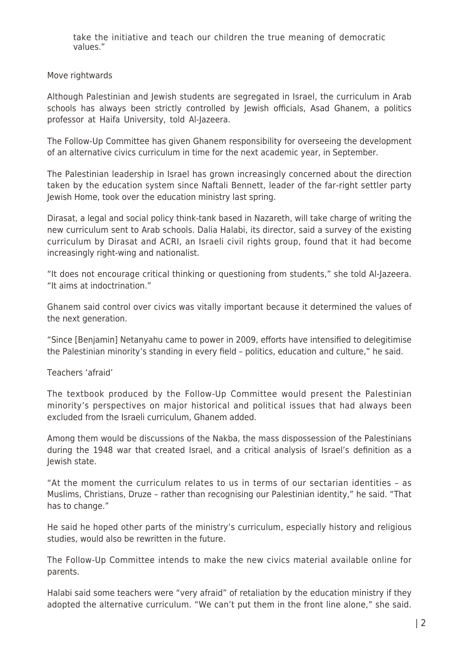take the initiative and teach our children the true meaning of democratic values."

Move rightwards

Although Palestinian and Jewish students are segregated in Israel, the curriculum in Arab schools has always been strictly controlled by Jewish officials, Asad Ghanem, a politics professor at Haifa University, told Al-Jazeera.

The Follow-Up Committee has given Ghanem responsibility for overseeing the development of an alternative civics curriculum in time for the next academic year, in September.

The Palestinian leadership in Israel has grown increasingly concerned about the direction taken by the education system since Naftali Bennett, leader of the far-right settler party Jewish Home, took over the education ministry last spring.

Dirasat, a legal and social policy think-tank based in Nazareth, will take charge of writing the new curriculum sent to Arab schools. Dalia Halabi, its director, said a survey of the existing curriculum by Dirasat and ACRI, an Israeli civil rights group, found that it had become increasingly right-wing and nationalist.

"It does not encourage critical thinking or questioning from students," she told Al-Jazeera. "It aims at indoctrination."

Ghanem said control over civics was vitally important because it determined the values of the next generation.

"Since [Benjamin] Netanyahu came to power in 2009, efforts have intensified to delegitimise the Palestinian minority's standing in every field – politics, education and culture," he said.

Teachers 'afraid'

The textbook produced by the Follow-Up Committee would present the Palestinian minority's perspectives on major historical and political issues that had always been excluded from the Israeli curriculum, Ghanem added.

Among them would be discussions of the Nakba, the mass dispossession of the Palestinians during the 1948 war that created Israel, and a critical analysis of Israel's definition as a Jewish state.

"At the moment the curriculum relates to us in terms of our sectarian identities – as Muslims, Christians, Druze – rather than recognising our Palestinian identity," he said. "That has to change."

He said he hoped other parts of the ministry's curriculum, especially history and religious studies, would also be rewritten in the future.

The Follow-Up Committee intends to make the new civics material available online for parents.

Halabi said some teachers were "very afraid" of retaliation by the education ministry if they adopted the alternative curriculum. "We can't put them in the front line alone," she said.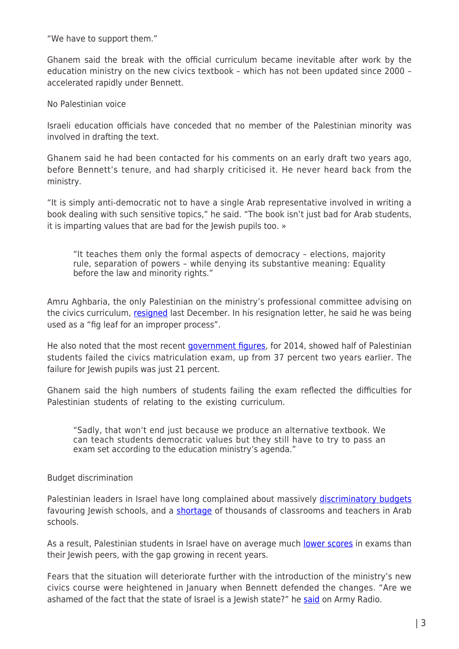"We have to support them."

Ghanem said the break with the official curriculum became inevitable after work by the education ministry on the new civics textbook – which has not been updated since 2000 – accelerated rapidly under Bennett.

No Palestinian voice

Israeli education officials have conceded that no member of the Palestinian minority was involved in drafting the text.

Ghanem said he had been contacted for his comments on an early draft two years ago, before Bennett's tenure, and had sharply criticised it. He never heard back from the ministry.

"It is simply anti-democratic not to have a single Arab representative involved in writing a book dealing with such sensitive topics," he said. "The book isn't just bad for Arab students, it is imparting values that are bad for the Jewish pupils too. »

"It teaches them only the formal aspects of democracy – elections, majority rule, separation of powers – while denying its substantive meaning: Equality before the law and minority rights."

Amru Aghbaria, the only Palestinian on the ministry's professional committee advising on the civics curriculum, [resigned](http://www.haaretz.com/israel-news/.premium-1.693339) last December. In his resignation letter, he said he was being used as a "fig leaf for an improper process".

He also noted that the most recent [government figures](http://www.haaretz.com/israel-news/.premium-1.701365), for 2014, showed half of Palestinian students failed the civics matriculation exam, up from 37 percent two years earlier. The failure for Jewish pupils was just 21 percent.

Ghanem said the high numbers of students failing the exam reflected the difficulties for Palestinian students of relating to the existing curriculum.

"Sadly, that won't end just because we produce an alternative textbook. We can teach students democratic values but they still have to try to pass an exam set according to the education ministry's agenda."

## Budget discrimination

Palestinian leaders in Israel have long complained about massively [discriminatory budgets](https://web.archive.org/web/20070807221918/http:/www.nif.org/content.cfm?id=2343&currbody=1) favouring Jewish schools, and a [shortage](http://www.haaretz.com/israel-news/arab-schools-short-of-teachers-classrooms-committee-finds-1.460134) of thousands of classrooms and teachers in Arab schools.

As a result, Palestinian students in Israel have on average much [lower scores](http://www.haaretz.com/israel-news/.premium-1.686824) in exams than their Jewish peers, with the gap growing in recent years.

Fears that the situation will deteriorate further with the introduction of the ministry's new civics course were heightened in January when Bennett defended the changes. "Are we ashamed of the fact that the state of Israel is a Jewish state?" he [said](http://www.haaretz.com/israel-news/.premium-1.699897) on Army Radio.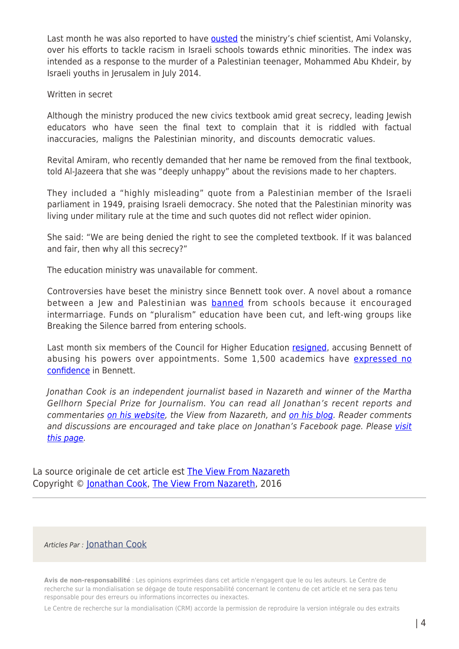Last month he was also reported to have [ousted](http://www.haaretz.com/israel-news/.premium-1.705809) the ministry's chief scientist, Ami Volansky, over his efforts to tackle racism in Israeli schools towards ethnic minorities. The index was intended as a response to the murder of a Palestinian teenager, Mohammed Abu Khdeir, by Israeli youths in Jerusalem in July 2014.

Written in secret

Although the ministry produced the new civics textbook amid great secrecy, leading Jewish educators who have seen the final text to complain that it is riddled with factual inaccuracies, maligns the Palestinian minority, and discounts democratic values.

Revital Amiram, who recently demanded that her name be removed from the final textbook, told Al-Jazeera that she was "deeply unhappy" about the revisions made to her chapters.

They included a "highly misleading" quote from a Palestinian member of the Israeli parliament in 1949, praising Israeli democracy. She noted that the Palestinian minority was living under military rule at the time and such quotes did not reflect wider opinion.

She said: "We are being denied the right to see the completed textbook. If it was balanced and fair, then why all this secrecy?"

The education ministry was unavailable for comment.

Controversies have beset the ministry since Bennett took over. A novel about a romance between a Jew and Palestinian was **banned** from schools because it encouraged intermarriage. Funds on "pluralism" education have been cut, and left-wing groups like Breaking the Silence barred from entering schools.

Last month six members of the Council for Higher Education [resigned,](http://www.ynetnews.com/articles/0,7340,L-4768893,00.html) accusing Bennett of abusing his powers over appointments. Some 1,500 academics have [expressed no](http://www.jpost.com/Israel-News/Academics-protest-Bennetts-CHE-actions-warn-of-crisis-of-confidence-444213) [confidence](http://www.jpost.com/Israel-News/Academics-protest-Bennetts-CHE-actions-warn-of-crisis-of-confidence-444213) in Bennett.

Jonathan Cook is an independent journalist based in Nazareth and winner of the Martha Gellhorn Special Prize for Journalism. You can read all Jonathan's recent reports and commentaries [on his website](https://www.mondialisation.ca/www.Jonathan-Cook.net), the View from Nazareth, and [on his blog](https://www.mondialisation.ca/www.Jonathan-Cook.net/blog/). Reader comments and discussions are encouraged and take place on Jonathan's Facebook page. Please [visit](https://www.mondialisation.ca/www.facebook.com/Jonathan.Cook.journalist) [this page](https://www.mondialisation.ca/www.facebook.com/Jonathan.Cook.journalist).

La source originale de cet article est [The View From Nazareth](http://www.jonathan-cook.net/2016-03-10/israeli-textbook-bad-for-arabs-bad-for-jews/) Copyright © [Jonathan Cook](https://www.mondialisation.ca/author/jonathan-cook), [The View From Nazareth](http://www.jonathan-cook.net/2016-03-10/israeli-textbook-bad-for-arabs-bad-for-jews/), 2016

## Articles Par : [Jonathan Cook](https://www.mondialisation.ca/author/jonathan-cook)

**Avis de non-responsabilité** : Les opinions exprimées dans cet article n'engagent que le ou les auteurs. Le Centre de recherche sur la mondialisation se dégage de toute responsabilité concernant le contenu de cet article et ne sera pas tenu responsable pour des erreurs ou informations incorrectes ou inexactes.

Le Centre de recherche sur la mondialisation (CRM) accorde la permission de reproduire la version intégrale ou des extraits